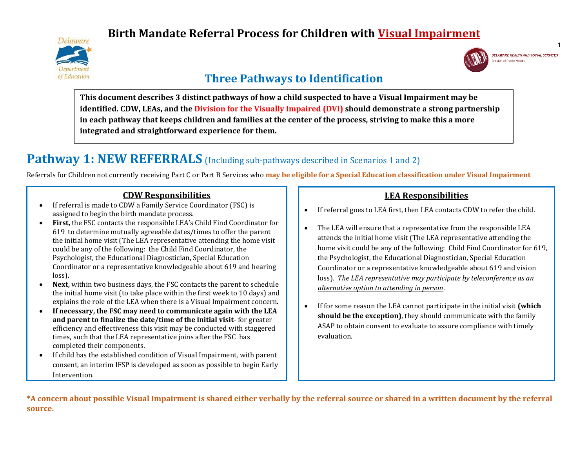# **Birth Mandate Referral Process for Children with Visual Impairment**





# **Three Pathways to Identification**

**This document describes 3 distinct pathways of how a child suspected to have a Visual Impairment may be identified. CDW, LEAs, and the Division for the Visually Impaired (DVI) should demonstrate a strong partnership in each pathway that keeps children and families at the center of the process, striving to make this a more integrated and straightforward experience for them.**

# **Pathway 1: NEW REFERRALS** (Including sub-pathways described in Scenarios 1 and 2)

Referrals for Children not currently receiving Part C or Part B Services who **may be eligible for a Special Education classification under Visual Impairment**

### **CDW Responsibilities**

- If referral is made to CDW a Family Service Coordinator (FSC) is assigned to begin the birth mandate process.
- **First,** the FSC contacts the responsible LEA's Child Find Coordinator for 619 to determine mutually agreeable dates/times to offer the parent the initial home visit (The LEA representative attending the home visit could be any of the following: the Child Find Coordinator, the Psychologist, the Educational Diagnostician, Special Education Coordinator or a representative knowledgeable about 619 and hearing loss).
- **Next,** within two business days, the FSC contacts the parent to schedule the initial home visit (to take place within the first week to 10 days) and explains the role of the LEA when there is a Visual Impairment concern.
- **If necessary, the FSC may need to communicate again with the LEA and parent to finalize the date/time of the initial visit**- for greater efficiency and effectiveness this visit may be conducted with staggered times, such that the LEA representative joins after the FSC has completed their components.
- If child has the established condition of Visual Impairment, with parent consent, an interim IFSP is developed as soon as possible to begin Early Intervention.

## **LEA Responsibilities**

- If referral goes to LEA first, then LEA contacts CDW to refer the child.
- The LEA will ensure that a representative from the responsible LEA attends the initial home visit (The LEA representative attending the home visit could be any of the following: Child Find Coordinator for 619, the Psychologist, the Educational Diagnostician, Special Education Coordinator or a representative knowledgeable about 619 and vision loss). *The LEA representative may participate by teleconference as an alternative option to attending in person*.
- If for some reason the LEA cannot participate in the initial visit **(which should be the exception)**, they should communicate with the family ASAP to obtain consent to evaluate to assure compliance with timely evaluation.

**\*A concern about possible Visual Impairment is shared either verbally by the referral source or shared in a written document by the referral source.**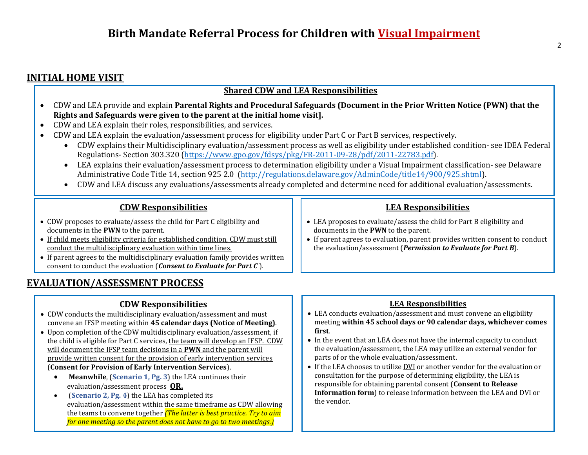# **INITIAL HOME VISIT**

### **Shared CDW and LEA Responsibilities**

- CDW and LEA provide and explain **Parental Rights and Procedural Safeguards (Document in the Prior Written Notice (PWN) that the Rights and Safeguards were given to the parent at the initial home visit].**
- CDW and LEA explain their roles, responsibilities, and services.
- CDW and LEA explain the evaluation/assessment process for eligibility under Part C or Part B services, respectively.
	- CDW explains their Multidisciplinary evaluation/assessment process as well as eligibility under established condition- see IDEA Federal Regulations- Section 303.320 [\(https://www.gpo.gov/fdsys/pkg/FR-2011-09-28/pdf/2011-22783.pdf\)](https://www.gpo.gov/fdsys/pkg/FR-2011-09-28/pdf/2011-22783.pdf).
	- LEA explains their evaluation/assessment process to determination eligibility under a Visual Impairment classification- see Delaware Administrative Code Title 14, section 925 2.0 [\(http://regulations.delaware.gov/AdminCode/title14/900/925.shtml\)](http://regulations.delaware.gov/AdminCode/title14/900/925.shtml).
	- CDW and LEA discuss any evaluations/assessments already completed and determine need for additional evaluation/assessments.

### **CDW Responsibilities**

- CDW proposes to evaluate/assess the child for Part C eligibility and documents in the **PWN** to the parent.
- If child meets eligibility criteria for established condition, CDW must still conduct the multidisciplinary evaluation within time lines.
- If parent agrees to the multidisciplinary evaluation family provides written consent to conduct the evaluation (*Consent to Evaluate for Part C* ).

# **EVALUATION/ASSESSMENT PROCESS**

## **CDW Responsibilities**

- CDW conducts the multidisciplinary evaluation/assessment and must convene an IFSP meeting within **45 calendar days (Notice of Meeting)**.
- Upon completion of the CDW multidisciplinary evaluation/assessment, if the child is eligible for Part C services, the team will develop an IFSP. CDW will document the IFSP team decisions in a **PWN** and the parent will provide written consent for the provision of early intervention services (**Consent for Provision of Early Intervention Services**).
	- **Meanwhile**, (**Scenario 1, Pg. 3**) the LEA continues their evaluation/assessment process **OR,**
	- (**Scenario 2, Pg. 4**) the LEA has completed its evaluation/assessment within the same timeframe as CDW allowing the teams to convene together *(The latter is best practice. Try to aim for one meeting so the parent does not have to go to two meetings.)*

### **LEA Responsibilities**

- LEA proposes to evaluate/assess the child for Part B eligibility and documents in the **PWN** to the parent.
- If parent agrees to evaluation, parent provides written consent to conduct the evaluation/assessment (*Permission to Evaluate for Part B*).

#### **LEA Responsibilities**

- LEA conducts evaluation/assessment and must convene an eligibility meeting **within 45 school days or 90 calendar days, whichever comes first**.
- In the event that an LEA does not have the internal capacity to conduct the evaluation/assessment, the LEA may utilize an external vendor for parts of or the whole evaluation/assessment.
- If the LEA chooses to utilize DVI or another vendor for the evaluation or consultation for the purpose of determining eligibility, the LEA is responsible for obtaining parental consent (**Consent to Release Information form**) to release information between the LEA and DVI or the vendor.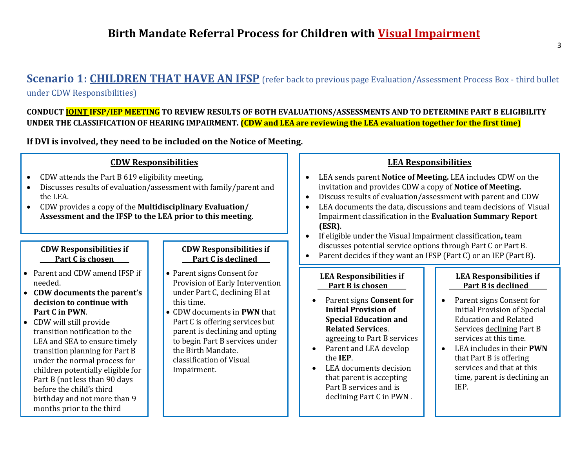# **Scenario 1: CHILDREN THAT HAVE AN IFSP** (refer back to previous page Evaluation/Assessment Process Box - third bullet under CDW Responsibilities)

**CONDUCT JOINT IFSP/IEP MEETING TO REVIEW RESULTS OF BOTH EVALUATIONS/ASSESSMENTS AND TO DETERMINE PART B ELIGIBILITY UNDER THE CLASSIFICATION OF HEARING IMPAIRMENT. (CDW and LEA are reviewing the LEA evaluation together for the first time)**

**If DVI is involved, they need to be included on the Notice of Meeting.**

### **CDW Responsibilities**

- CDW attends the Part B 619 eligibility meeting.
- Discusses results of evaluation/assessment with family/parent and the LEA.
- CDW provides a copy of the **Multidisciplinary Evaluation/ Assessment and the IFSP to the LEA prior to this meeting**.

#### **CDW Responsibilities if \_\_\_\_\_Part C is chosen\_\_\_\_\_**

- Parent and CDW amend IFSP if needed.
- **CDW documents the parent's decision to continue with Part C in PWN**.
- CDW will still provide transition notification to the LEA and SEA to ensure timely transition planning for Part B under the normal process for children potentially eligible for Part B (not less than 90 days before the child's third birthday and not more than 9 months prior to the third

birthday).

#### **CDW Responsibilities if Part C is declined\_\_\_\_**

- Parent signs Consent for Provision of Early Intervention under Part C, declining EI at this time.
- CDW documents in **PWN** that Part C is offering services but parent is declining and opting to begin Part B services under the Birth Mandate. classification of Visual Impairment.

### **LEA Responsibilities**

- LEA sends parent **Notice of Meeting.** LEA includes CDW on the invitation and provides CDW a copy of **Notice of Meeting.**
- Discuss results of evaluation/assessment with parent and CDW
- LEA documents the data, discussions and team decisions of Visual Impairment classification in the **Evaluation Summary Report (ESR)**.
- If eligible under the Visual Impairment classification**,** team discusses potential service options through Part C or Part B.
- Parent decides if they want an IFSP (Part C) or an IEP (Part B).

#### **LEA Responsibilities if Part B is chosen\_\_\_\_\_\_**

- Parent signs **Consent for Initial Provision of Special Education and Related Services**. agreeing to Part B services
- Parent and LEA develop the **IEP**.
- LEA documents decision that parent is accepting Part B services and is declining Part C in PWN .

### **LEA Responsibilities if Part B is declined\_\_\_\_\_\_**

- Parent signs Consent for Initial Provision of Special Education and Related Services declining Part B services at this time.
- LEA includes in their **PWN** that Part B is offering services and that at this time, parent is declining an IEP.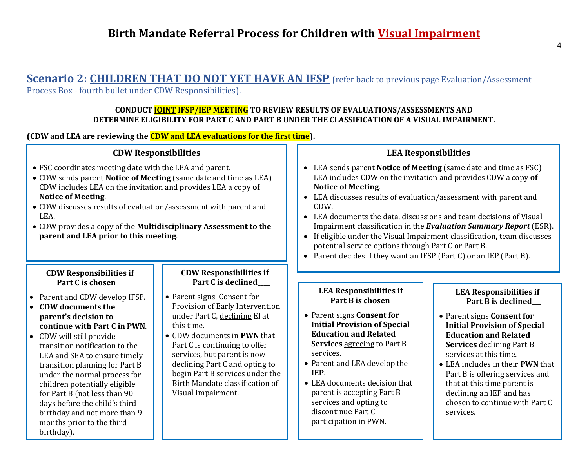# **Scenario 2: CHILDREN THAT DO NOT YET HAVE AN IFSP** (refer back to previous page Evaluation/Assessment

Process Box - fourth bullet under CDW Responsibilities).

### **CONDUCT JOINT IFSP/IEP MEETING TO REVIEW RESULTS OF EVALUATIONS/ASSESSMENTS AND DETERMINE ELIGIBILITY FOR PART C AND PART B UNDER THE CLASSIFICATION OF A VISUAL IMPAIRMENT.**

**(CDW and LEA are reviewing the CDW and LEA evaluations for the first time).**

### **CDW Responsibilities**

- FSC coordinates meeting date with the LEA and parent.
- CDW sends parent **Notice of Meeting** (same date and time as LEA) CDW includes LEA on the invitation and provides LEA a copy **of Notice of Meeting**.
- CDW discusses results of evaluation/assessment with parent and LEA.
- CDW provides a copy of the **Multidisciplinary Assessment to the parent and LEA prior to this meeting**.

### **CDW Responsibilities if Part C is chosen\_\_\_\_\_\_**

- Parent and CDW develop IFSP.
- **CDW documents the parent's decision to continue with Part C in PWN**.
- CDW will still provide transition notification to the LEA and SEA to ensure timely transition planning for Part B under the normal process for children potentially eligible for Part B (not less than 90 days before the child's third birthday and not more than 9 months prior to the third birthday).

### **CDW Responsibilities if Part C is declined\_\_\_\_**

- Parent signs Consent for Provision of Early Intervention under Part C, declining EI at this time.
- CDW documents in **PWN** that Part C is continuing to offer services, but parent is now declining Part C and opting to begin Part B services under the Birth Mandate classification of Visual Impairment.

### **LEA Responsibilities**

- LEA sends parent **Notice of Meeting** (same date and time as FSC) LEA includes CDW on the invitation and provides CDW a copy **of Notice of Meeting**.
- LEA discusses results of evaluation/assessment with parent and CDW.
- LEA documents the data, discussions and team decisions of Visual Impairment classification in the *Evaluation Summary Report* (ESR).
- If eligible under the Visual Impairment classification**,** team discusses potential service options through Part C or Part B.
- Parent decides if they want an IFSP (Part C) or an IEP (Part B).

#### **LEA Responsibilities if Part B is chosen\_\_\_\_\_**

- Parent signs **Consent for Initial Provision of Special Education and Related Services** agreeing to Part B services.
- Parent and LEA develop the **IEP**.
- LEA documents decision that parent is accepting Part B services and opting to discontinue Part C participation in PWN.

#### **LEA Responsibilities if Part B is declined\_\_\_**

- Parent signs **Consent for Initial Provision of Special Education and Related Services** declining Part B services at this time.
- LEA includes in their **PWN** that Part B is offering services and that at this time parent is declining an IEP and has chosen to continue with Part C services.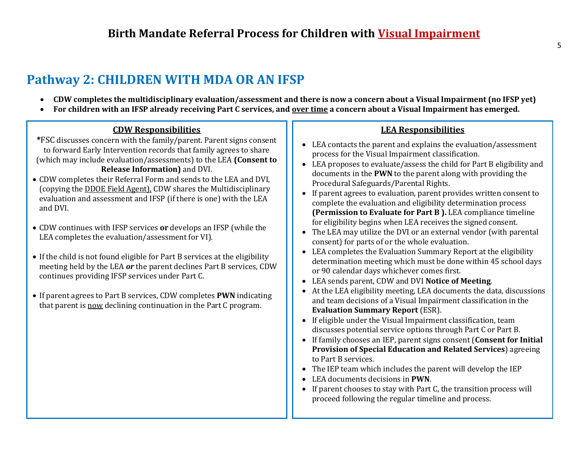# **Pathway 2: CHILDREN WITH MDA OR AN IFSP**

- **CDW completes the multidisciplinary evaluation/assessment and there is now a concern about a Visual Impairment (no IFSP yet)**
- **For children with an IFSP already receiving Part C services, and over time a concern about a Visual Impairment has emerged.**

# **CDW Responsibilities**

- **\***FSC discusses concern with the family/parent. Parent signs consent to forward Early Intervention records that family agrees to share (which may include evaluation/assessments) to the LEA **(Consent to Release Information)** and DVI.
- CDW completes their Referral Form and sends to the LEA and DVI, (copying the DDOE Field Agent), CDW shares the Multidisciplinary evaluation and assessment and IFSP (if there is one) with the LEA and DVI.
- CDW continues with IFSP services **or** develops an IFSP (while the LEA completes the evaluation/assessment for VI).
- If the child is not found eligible for Part B services at the eligibility meeting held by the LEA *or* the parent declines Part B services, CDW continues providing IFSP services under Part C.
- If parent agrees to Part B services, CDW completes **PWN** indicating that parent is now declining continuation in the Part C program.

## **LEA Responsibilities**

- LEA contacts the parent and explains the evaluation/assessment process for the Visual Impairment classification.
- LEA proposes to evaluate/assess the child for Part B eligibility and documents in the **PWN** to the parent along with providing the Procedural Safeguards/Parental Rights.
- If parent agrees to evaluation, parent provides written consent to complete the evaluation and eligibility determination process **(Permission to Evaluate for Part B ).** LEA compliance timeline for eligibility begins when LEA receives the signed consent.
- The LEA may utilize the DVI or an external vendor (with parental consent) for parts of or the whole evaluation.
- LEA completes the Evaluation Summary Report at the eligibility determination meeting which must be done within 45 school days or 90 calendar days whichever comes first.
- LEA sends parent, CDW and DVI **Notice of Meeting**.
- At the LEA eligibility meeting, LEA documents the data, discussions and team decisions of a Visual Impairment classification in the **Evaluation Summary Report** (ESR).
- If eligible under the Visual Impairment classification, team discusses potential service options through Part C or Part B.
- If family chooses an IEP, parent signs consent (**Consent for Initial Provision of Special Education and Related Services**) agreeing to Part B services.
- The IEP team which includes the parent will develop the IEP
- LEA documents decisions in **PWN**.
- If parent chooses to stay with Part C, the transition process will proceed following the regular timeline and process.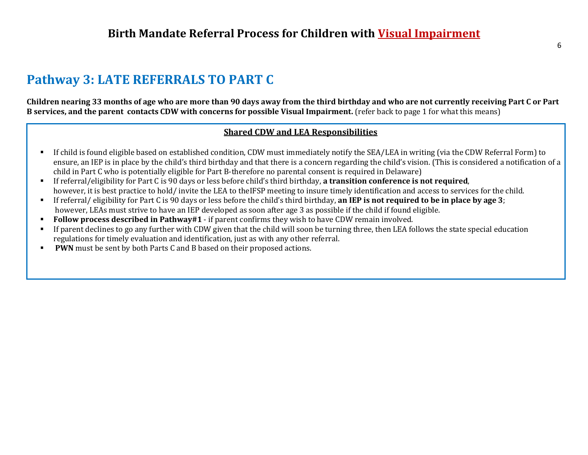# **Pathway 3: LATE REFERRALS TO PART C**

**Children nearing 33 months of age who are more than 90 days away from the third birthday and who are not currently receiving Part C or Part B services, and the parent contacts CDW with concerns for possible Visual Impairment.** (refer back to page 1 for what this means)

### **Shared CDW and LEA Responsibilities**

- If child is found eligible based on established condition, CDW must immediately notify the SEA/LEA in writing (via the CDW Referral Form) to ensure, an IEP is in place by the child's third birthday and that there is a concern regarding the child's vision. (This is considered a notification of a child in Part C who is potentially eligible for Part B-therefore no parental consent is required in Delaware)
- If referral/eligibility for Part C is 90 days or less before child's third birthday, **a transition conference is not required**, however, it is best practice to hold/ invite the LEA to theIFSP meeting to insure timely identification and access to services for the child.
- If referral/ eligibility for Part C is 90 days or less before the child's third birthday, **an IEP is not required to be in place by age 3**; however, LEAs must strive to have an IEP developed as soon after age 3 as possible if the child if found eligible.
- **Follow process described in Pathway#1**  if parent confirms they wish to have CDW remain involved.
- If parent declines to go any further with CDW given that the child will soon be turning three, then LEA follows the state special education regulations for timely evaluation and identification, just as with any other referral.
- **PWN** must be sent by both Parts C and B based on their proposed actions.